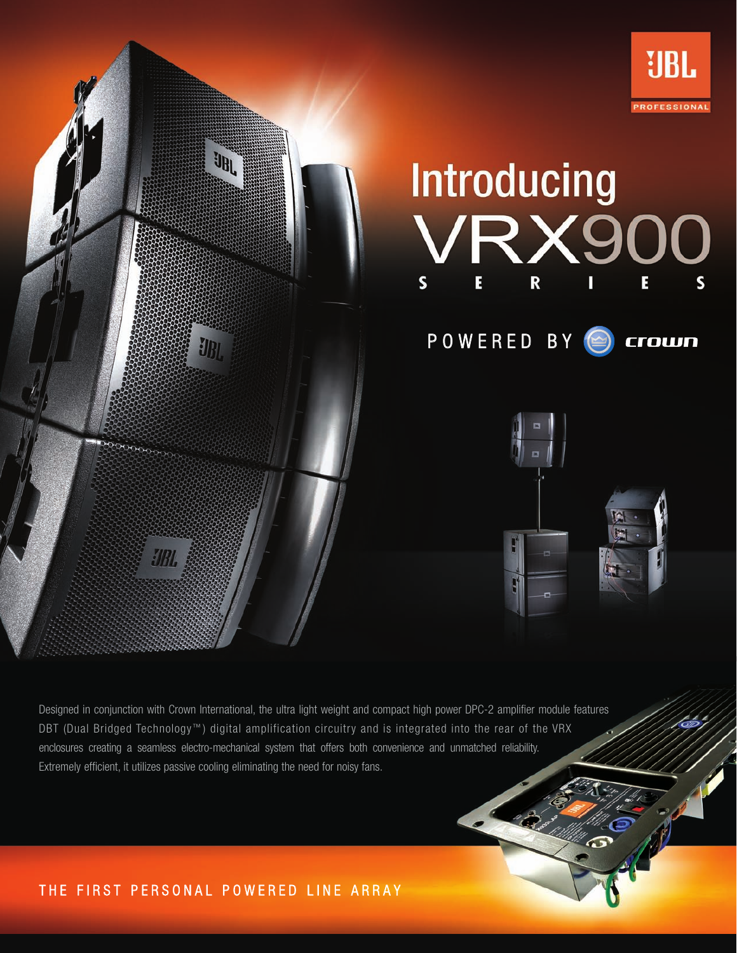

Designed in conjunction with Crown International, the ultra light weight and compact high power DPC-2 amplifier module features DBT (Dual Bridged Technology<sup>™</sup>) digital amplification circuitry and is integrated into the rear of the VRX enclosures creating a seamless electro-mechanical system that offers both convenience and unmatched reliability. Extremely efficient, it utilizes passive cooling eliminating the need for noisy fans.

# THE FIRST PERSONAL POWERED LINE ARRAY